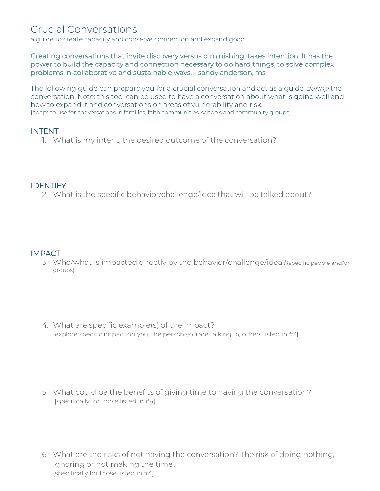# Crucial Conversations

a guide to create capacity and conserve connection and expand good

#### Creating conversations that invite discovery versus diminishing, takes intention. It has the power to build the capacity and connection necessary to do hard things, to solve complex problems in collaborative and sustainable ways. - sandy anderson, ms

The following guide can prepare you for a crucial conversation and act as a guide *during* the conversation. Note: this tool can be used to have a conversation about what is going well and how to expand it and conversations on areas of vulnerability and risk. {adapt to use for conversations in families, faith communities, schools and community groups}

#### INTENT

1. What is my intent, the desired outcome of the conversation?

#### **IDENTIFY**

2. What is the specific behavior/challenge/idea that will be talked about?

#### **IMPACT**

- 3. Who/what is impacted directly by the behavior/challenge/idea?{specific people and/or groups}
- 4. What are specific example(s) of the impact? [explore specific impact on you, the person you are talking to, others listed in #3]

- 5. What could be the benefits of giving time to having the conversation? [specifically for those listed in #4}
- 6. What are the risks of not having the conversation? The risk of doing nothing, ignoring or not making the time? [specifically for those listed in #4]